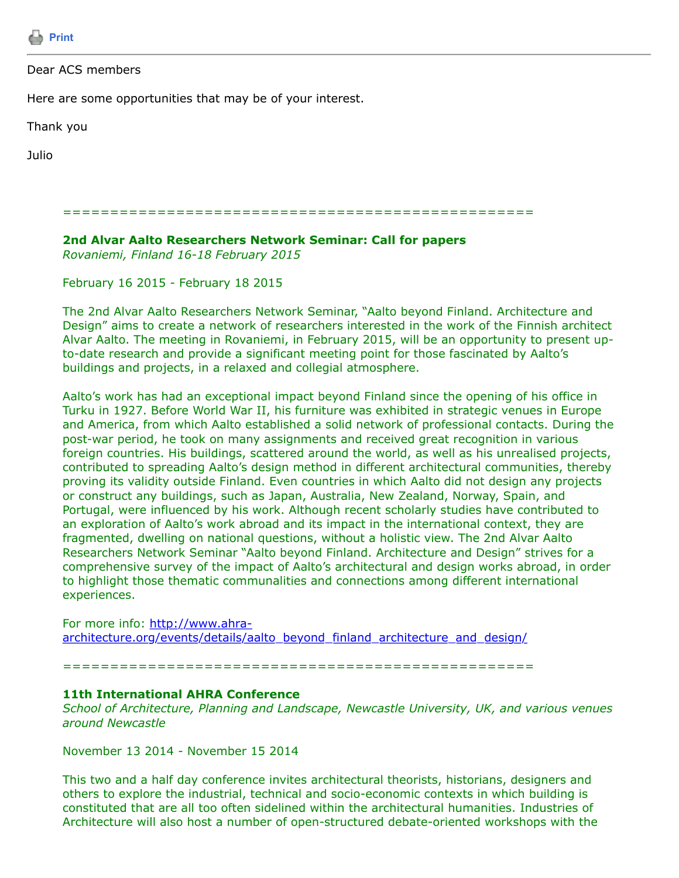

# Dear ACS members

Here are some opportunities that may be of your interest.

Thank you

Julio

==================================================

**2nd Alvar Aalto Researchers Network Seminar: Call for papers** *Rovaniemi, Finland 16-18 February 2015*

February 16 2015 - February 18 2015

The 2nd Alvar Aalto Researchers Network Seminar, "Aalto beyond Finland. Architecture and Design" aims to create a network of researchers interested in the work of the Finnish architect Alvar Aalto. The meeting in Rovaniemi, in February 2015, will be an opportunity to present upto-date research and provide a significant meeting point for those fascinated by Aalto's buildings and projects, in a relaxed and collegial atmosphere.

Aalto's work has had an exceptional impact beyond Finland since the opening of his office in Turku in 1927. Before World War II, his furniture was exhibited in strategic venues in Europe and America, from which Aalto established a solid network of professional contacts. During the post-war period, he took on many assignments and received great recognition in various foreign countries. His buildings, scattered around the world, as well as his unrealised projects, contributed to spreading Aalto's design method in different architectural communities, thereby proving its validity outside Finland. Even countries in which Aalto did not design any projects or construct any buildings, such as Japan, Australia, New Zealand, Norway, Spain, and Portugal, were influenced by his work. Although recent scholarly studies have contributed to an exploration of Aalto's work abroad and its impact in the international context, they are fragmented, dwelling on national questions, without a holistic view. The 2nd Alvar Aalto Researchers Network Seminar "Aalto beyond Finland. Architecture and Design" strives for a comprehensive survey of the impact of Aalto's architectural and design works abroad, in order to highlight those thematic communalities and connections among different international experiences.

For more info: http://www.ahra[architecture.org/events/details/aalto\\_beyond\\_finland\\_architecture\\_and\\_design/](http://www.ahra-architecture.org/events/details/aalto_beyond_finland_architecture_and_design/)

==================================================

## **11th International AHRA Conference**

*School of Architecture, Planning and Landscape, Newcastle University, UK, and various venues around Newcastle*

November 13 2014 - November 15 2014

This two and a half day conference invites architectural theorists, historians, designers and others to explore the industrial, technical and socio-economic contexts in which building is constituted that are all too often sidelined within the architectural humanities. Industries of Architecture will also host a number of open-structured debate-oriented workshops with the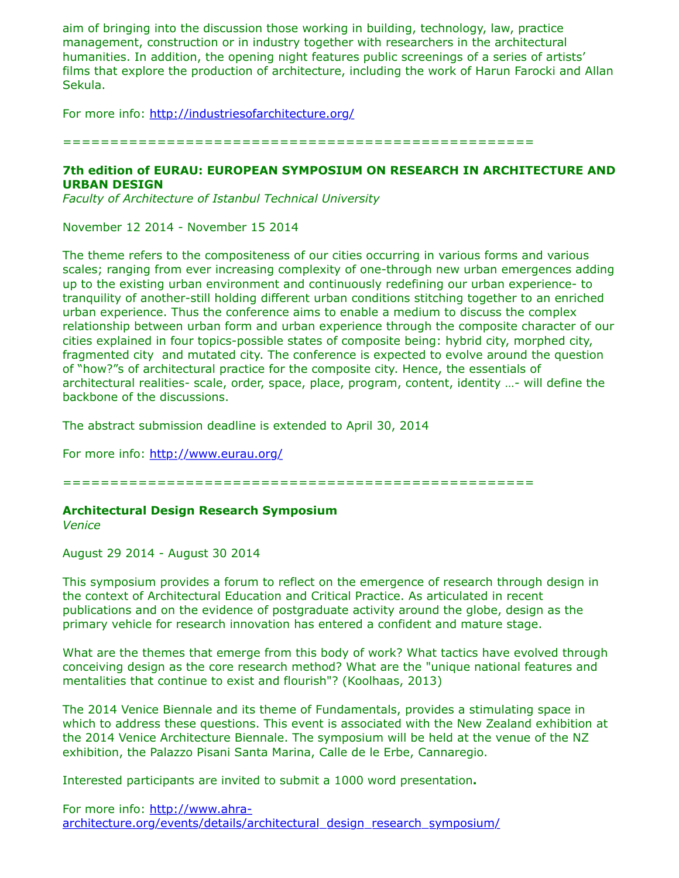aim of bringing into the discussion those working in building, technology, law, practice management, construction or in industry together with researchers in the architectural humanities. In addition, the opening night features public screenings of a series of artists' films that explore the production of architecture, including the work of Harun Farocki and Allan Sekula.

For more info:<http://industriesofarchitecture.org/>

==================================================

## **7th edition of EURAU: EUROPEAN SYMPOSIUM ON RESEARCH IN ARCHITECTURE AND URBAN DESIGN**

*Faculty of Architecture of Istanbul Technical University*

November 12 2014 - November 15 2014

The theme refers to the compositeness of our cities occurring in various forms and various scales; ranging from ever increasing complexity of one-through new urban emergences adding up to the existing urban environment and continuously redefining our urban experience- to tranquility of another-still holding different urban conditions stitching together to an enriched urban experience. Thus the conference aims to enable a medium to discuss the complex relationship between urban form and urban experience through the composite character of our cities explained in four topics-possible states of composite being: hybrid city, morphed city, fragmented city and mutated city. The conference is expected to evolve around the question of "how?"s of architectural practice for the composite city. Hence, the essentials of architectural realities- scale, order, space, place, program, content, identity …- will define the backbone of the discussions.

The abstract submission deadline is extended to April 30, 2014

For more info:<http://www.eurau.org/>

==================================================

## **Architectural Design Research Symposium**

*Venice*

August 29 2014 - August 30 2014

This symposium provides a forum to reflect on the emergence of research through design in the context of Architectural Education and Critical Practice. As articulated in recent publications and on the evidence of postgraduate activity around the globe, design as the primary vehicle for research innovation has entered a confident and mature stage.

What are the themes that emerge from this body of work? What tactics have evolved through conceiving design as the core research method? What are the "unique national features and mentalities that continue to exist and flourish"? (Koolhaas, 2013)

The 2014 Venice Biennale and its theme of Fundamentals, provides a stimulating space in which to address these questions. This event is associated with the New Zealand exhibition at the 2014 Venice Architecture Biennale. The symposium will be held at the venue of the NZ exhibition, the Palazzo Pisani Santa Marina, Calle de le Erbe, Cannaregio.

Interested participants are invited to submit a 1000 word presentation**.**

For more info: http://www.ahra[architecture.org/events/details/architectural\\_design\\_research\\_symposium/](http://www.ahra-architecture.org/events/details/architectural_design_research_symposium/)